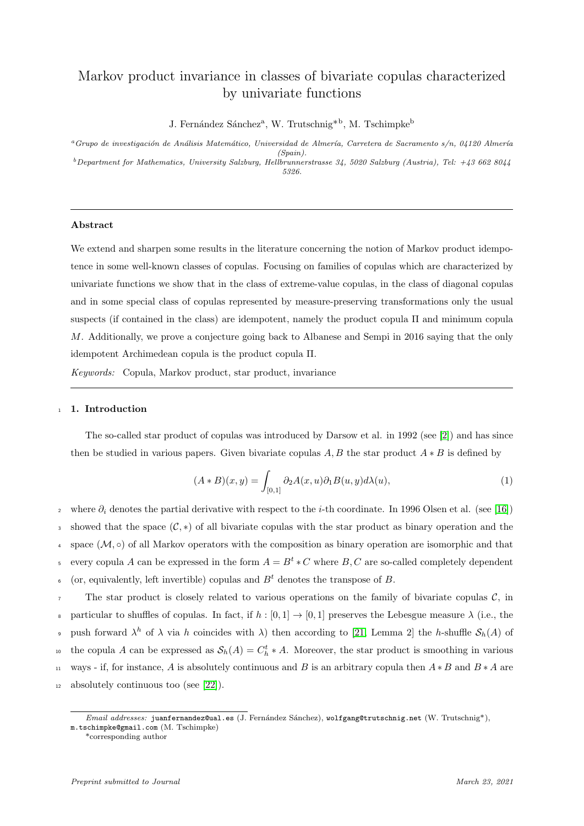# Markov product invariance in classes of bivariate copulas characterized by univariate functions

J. Fernández Sánchez<sup>a</sup>, W. Trutschnig<sup>\*b</sup>, M. Tschimpke<sup>b</sup>

<sup>a</sup>Grupo de investigación de Análisis Matemático, Universidad de Almería, Carretera de Sacramento s/n, 04120 Almería (Spain).  $b$ Department for Mathematics, University Salzburg, Hellbrunnerstrasse 34, 5020 Salzburg (Austria), Tel: +43 662 8044 5326.

#### Abstract

We extend and sharpen some results in the literature concerning the notion of Markov product idempotence in some well-known classes of copulas. Focusing on families of copulas which are characterized by univariate functions we show that in the class of extreme-value copulas, in the class of diagonal copulas and in some special class of copulas represented by measure-preserving transformations only the usual suspects (if contained in the class) are idempotent, namely the product copula  $\Pi$  and minimum copula M. Additionally, we prove a conjecture going back to Albanese and Sempi in 2016 saying that the only idempotent Archimedean copula is the product copula Π.

Keywords: Copula, Markov product, star product, invariance

#### 1. Introduction

The so-called star product of copulas was introduced by Darsow et al. in 1992 (see [\[2\]](#page-13-0)) and has since then be studied in various papers. Given bivariate copulas  $A, B$  the star product  $A * B$  is defined by

$$
(A * B)(x, y) = \int_{[0,1]} \partial_2 A(x, u) \partial_1 B(u, y) d\lambda(u), \qquad (1)
$$

<sup>2</sup> where  $\partial_i$  denotes the partial derivative with respect to the *i*-th coordinate. In 1996 Olsen et al. (see [\[16\]](#page-14-0)) 3 showed that the space  $(\mathcal{C}, *)$  of all bivariate copulas with the star product as binary operation and the 4 space  $(\mathcal{M}, \circ)$  of all Markov operators with the composition as binary operation are isomorphic and that every copula A can be expressed in the form  $A = B^t * C$  where B, C are so-called completely dependent  $\epsilon$  (or, equivalently, left invertible) copulas and  $B<sup>t</sup>$  denotes the transpose of B.  $\tau$  The star product is closely related to various operations on the family of bivariate copulas  $\mathcal{C}$ , in

8 particular to shuffles of copulas. In fact, if  $h : [0, 1] \rightarrow [0, 1]$  preserves the Lebesgue measure  $\lambda$  (i.e., the push forward  $\lambda^h$  of  $\lambda$  via h coincides with  $\lambda$ ) then according to [\[21,](#page-14-1) Lemma 2] the h-shuffle  $\mathcal{S}_h(A)$  of the copula A can be expressed as  $S_h(A) = C_h^t * A$ . Moreover, the star product is smoothing in various 11 ways - if, for instance, A is absolutely continuous and B is an arbitrary copula then  $A * B$  and  $B * A$  are  $_{12}$  absolutely continuous too (see [\[22\]](#page-14-2)).

 $Email \ addresses: \mathbf{juanfernandez@ual. es}$  (J. Fernández Sánchez), wolfgang@trutschnig.net (W. Trutschnig\*), m.tschimpke@gmail.com (M. Tschimpke)

<sup>\*</sup>corresponding author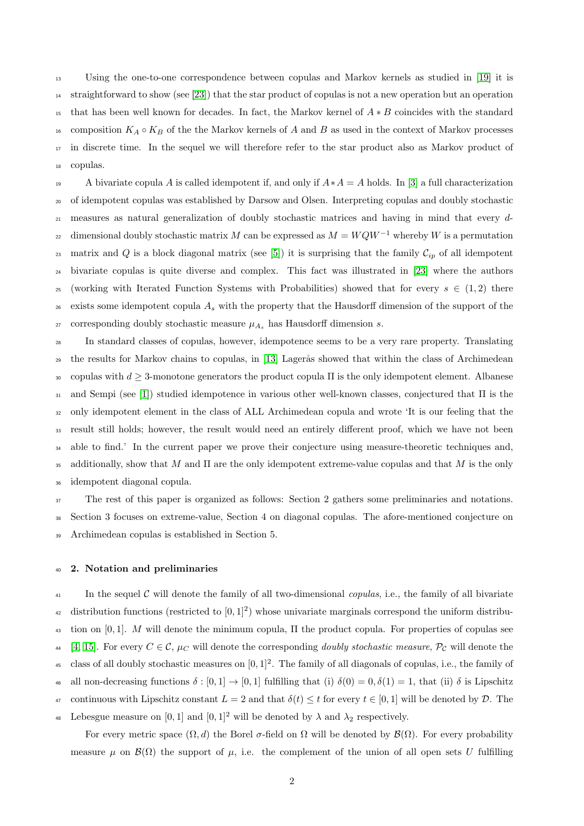<sup>13</sup> Using the one-to-one correspondence between copulas and Markov kernels as studied in [\[19\]](#page-14-3) it is <sup>14</sup> straightforward to show (see [\[23\]](#page-14-4)) that the star product of copulas is not a new operation but an operation <sup>15</sup> that has been well known for decades. In fact, the Markov kernel of  $A * B$  coincides with the standard 16 composition  $K_A \circ K_B$  of the the Markov kernels of A and B as used in the context of Markov processes <sup>17</sup> in discrete time. In the sequel we will therefore refer to the star product also as Markov product of <sup>18</sup> copulas.

19 A bivariate copula A is called idempotent if, and only if  $A*A = A$  holds. In [\[3\]](#page-13-1) a full characterization <sup>20</sup> of idempotent copulas was established by Darsow and Olsen. Interpreting copulas and doubly stochastic <sup>21</sup> measures as natural generalization of doubly stochastic matrices and having in mind that every ddimensional doubly stochastic matrix M can be expressed as  $M = WQW^{-1}$  whereby W is a permutation 23 matrix and Q is a block diagonal matrix (see [\[5\]](#page-13-2)) it is surprising that the family  $\mathcal{C}_{ip}$  of all idempotent <sup>24</sup> bivariate copulas is quite diverse and complex. This fact was illustrated in [\[23\]](#page-14-4) where the authors 25 (working with Iterated Function Systems with Probabilities) showed that for every  $s \in (1,2)$  there  $26$  exists some idempotent copula  $A_s$  with the property that the Hausdorff dimension of the support of the <sup>27</sup> corresponding doubly stochastic measure  $\mu_{A_s}$  has Hausdorff dimension *s*.

 In standard classes of copulas, however, idempotence seems to be a very rare property. Translating <sup>29</sup> the results for Markov chains to copulas, in [\[13\]](#page-14-5) Lagerås showed that within the class of Archimedean 30 copulas with  $d \geq 3$ -monotone generators the product copula  $\Pi$  is the only idempotent element. Albanese and Sempi (see [\[1\]](#page-13-3)) studied idempotence in various other well-known classes, conjectured that Π is the only idempotent element in the class of ALL Archimedean copula and wrote 'It is our feeling that the result still holds; however, the result would need an entirely different proof, which we have not been able to find.' In the current paper we prove their conjecture using measure-theoretic techniques and, 35 additionally, show that M and  $\Pi$  are the only idempotent extreme-value copulas and that M is the only idempotent diagonal copula.

<sup>37</sup> The rest of this paper is organized as follows: Section 2 gathers some preliminaries and notations. <sup>38</sup> Section 3 focuses on extreme-value, Section 4 on diagonal copulas. The afore-mentioned conjecture on <sup>39</sup> Archimedean copulas is established in Section 5.

#### <sup>40</sup> 2. Notation and preliminaries

 $\mu$ <sub>41</sub> In the sequel C will denote the family of all two-dimensional *copulas*, i.e., the family of all bivariate distribution functions (restricted to  $[0,1]^2$ ) whose univariate marginals correspond the uniform distribu- $\frac{43}{10}$  tion on [0, 1]. M will denote the minimum copula,  $\Pi$  the product copula. For properties of copulas see 44 [\[4,](#page-13-4) [15\]](#page-14-6). For every  $C \in \mathcal{C}$ ,  $\mu_C$  will denote the corresponding *doubly stochastic measure*,  $\mathcal{P}_\mathcal{C}$  will denote the <sup>45</sup> class of all doubly stochastic measures on  $[0, 1]^2$ . The family of all diagonals of copulas, i.e., the family of 46 all non-decreasing functions  $\delta : [0,1] \rightarrow [0,1]$  fulfilling that (i)  $\delta(0) = 0, \delta(1) = 1$ , that (ii)  $\delta$  is Lipschitz

- 47 continuous with Lipschitz constant  $L = 2$  and that  $\delta(t) \leq t$  for every  $t \in [0, 1]$  will be denoted by  $\mathcal{D}$ . The
- 48 Lebesgue measure on [0, 1] and [0, 1]<sup>2</sup> will be denoted by  $\lambda$  and  $\lambda_2$  respectively.

For every metric space  $(\Omega, d)$  the Borel  $\sigma$ -field on  $\Omega$  will be denoted by  $\mathcal{B}(\Omega)$ . For every probability measure  $\mu$  on  $\mathcal{B}(\Omega)$  the support of  $\mu$ , i.e. the complement of the union of all open sets U fulfilling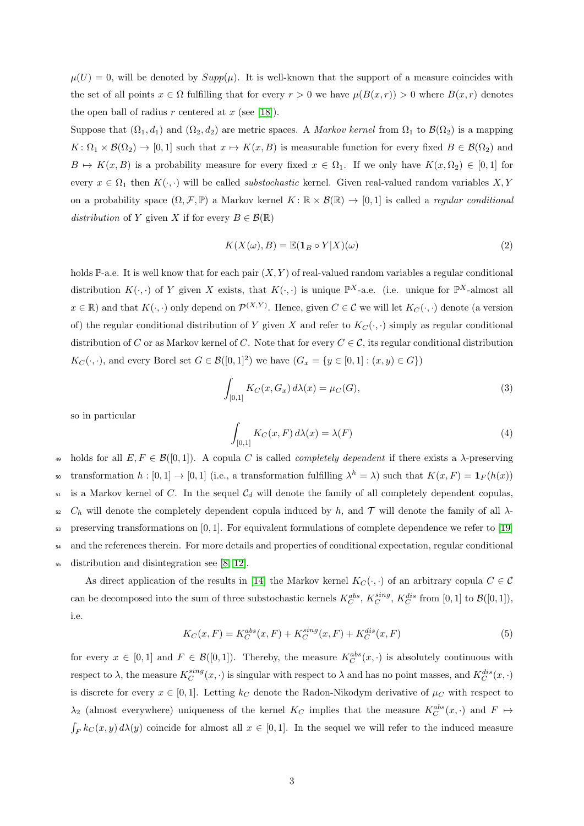$\mu(U) = 0$ , will be denoted by  $Supp(\mu)$ . It is well-known that the support of a measure coincides with the set of all points  $x \in \Omega$  fulfilling that for every  $r > 0$  we have  $\mu(B(x, r)) > 0$  where  $B(x, r)$  denotes the open ball of radius r centered at  $x$  (see [\[18\]](#page-14-7)).

Suppose that  $(\Omega_1, d_1)$  and  $(\Omega_2, d_2)$  are metric spaces. A *Markov kernel* from  $\Omega_1$  to  $\mathcal{B}(\Omega_2)$  is a mapping  $K: \Omega_1 \times \mathcal{B}(\Omega_2) \to [0,1]$  such that  $x \mapsto K(x, B)$  is measurable function for every fixed  $B \in \mathcal{B}(\Omega_2)$  and  $B \mapsto K(x, B)$  is a probability measure for every fixed  $x \in \Omega_1$ . If we only have  $K(x, \Omega_2) \in [0, 1]$  for every  $x \in \Omega_1$  then  $K(\cdot, \cdot)$  will be called *substochastic* kernel. Given real-valued random variables X, Y on a probability space  $(\Omega, \mathcal{F}, \mathbb{P})$  a Markov kernel  $K: \mathbb{R} \times \mathcal{B}(\mathbb{R}) \to [0, 1]$  is called a *regular conditional* distribution of Y given X if for every  $B \in \mathcal{B}(\mathbb{R})$ 

$$
K(X(\omega), B) = \mathbb{E}(\mathbf{1}_B \circ Y | X)(\omega)
$$
\n(2)

holds P-a.e. It is well know that for each pair  $(X, Y)$  of real-valued random variables a regular conditional distribution  $K(\cdot, \cdot)$  of Y given X exists, that  $K(\cdot, \cdot)$  is unique  $\mathbb{P}^{X}$ -a.e. (i.e. unique for  $\mathbb{P}^{X}$ -almost all  $x \in \mathbb{R}$ ) and that  $K(\cdot, \cdot)$  only depend on  $\mathcal{P}^{(X,Y)}$ . Hence, given  $C \in \mathcal{C}$  we will let  $K_C(\cdot, \cdot)$  denote (a version of) the regular conditional distribution of Y given X and refer to  $K_C(\cdot, \cdot)$  simply as regular conditional distribution of C or as Markov kernel of C. Note that for every  $C \in \mathcal{C}$ , its regular conditional distribution  $K_C(\cdot, \cdot)$ , and every Borel set  $G \in \mathcal{B}([0, 1]^2)$  we have  $(G_x = \{y \in [0, 1] : (x, y) \in G\})$ 

$$
\int_{[0,1]} K_C(x, G_x) \, d\lambda(x) = \mu_C(G),\tag{3}
$$

so in particular

$$
\int_{[0,1]} K_C(x, F) d\lambda(x) = \lambda(F)
$$
\n(4)

49 holds for all  $E, F \in \mathcal{B}([0,1])$ . A copula C is called *completely dependent* if there exists a  $\lambda$ -preserving transformation  $h: [0,1] \to [0,1]$  (i.e., a transformation fulfilling  $\lambda^h = \lambda$ ) such that  $K(x,F) = \mathbf{1}_F(h(x))$  $51$  is a Markov kernel of C. In the sequel  $C_d$  will denote the family of all completely dependent copulas,  $52 \, C_h$  will denote the completely dependent copula induced by h, and  $\mathcal T$  will denote the family of all  $\lambda$ - $\frac{53}{25}$  preserving transformations on [0, 1]. For equivalent formulations of complete dependence we refer to [\[19\]](#page-14-3) <sup>54</sup> and the references therein. For more details and properties of conditional expectation, regular conditional <sup>55</sup> distribution and disintegration see [\[8,](#page-14-8) [12\]](#page-14-9).

As direct application of the results in [\[14\]](#page-14-10) the Markov kernel  $K_C(\cdot, \cdot)$  of an arbitrary copula  $C \in \mathcal{C}$ can be decomposed into the sum of three substochastic kernels  $K_C^{abs}$ ,  $K_C^{sing}$ ,  $K_C^{dis}$  from [0, 1] to  $\mathcal{B}([0,1])$ , i.e.

$$
K_C(x, F) = K_C^{abs}(x, F) + K_C^{sing}(x, F) + K_C^{dis}(x, F)
$$
\n(5)

for every  $x \in [0,1]$  and  $F \in \mathcal{B}([0,1])$ . Thereby, the measure  $K_C^{abs}(x, \cdot)$  is absolutely continuous with respect to  $\lambda$ , the measure  $K_C^{sing}(x, \cdot)$  is singular with respect to  $\lambda$  and has no point masses, and  $K_C^{dis}(x, \cdot)$ is discrete for every  $x \in [0,1]$ . Letting  $k_C$  denote the Radon-Nikodym derivative of  $\mu_C$  with respect to  $\lambda_2$  (almost everywhere) uniqueness of the kernel  $K_C$  implies that the measure  $K_C^{abs}(x, \cdot)$  and  $F \mapsto$  $\int_F k_C(x, y) d\lambda(y)$  coincide for almost all  $x \in [0, 1]$ . In the sequel we will refer to the induced measure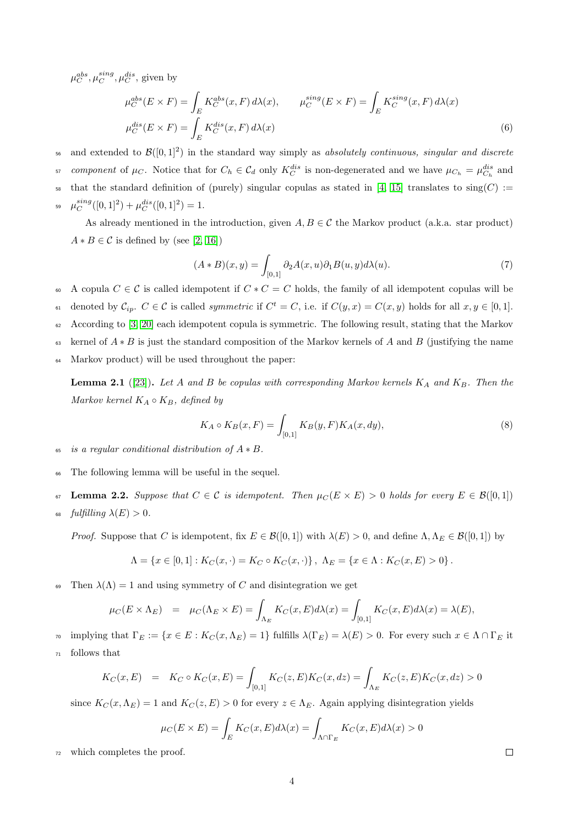$\mu_C^{abs}, \mu_C^{sing}, \mu_C^{dis},$  given by

$$
\mu_C^{abs}(E \times F) = \int_E K_C^{abs}(x, F) d\lambda(x), \qquad \mu_C^{sing}(E \times F) = \int_E K_C^{sing}(x, F) d\lambda(x)
$$
  

$$
\mu_C^{dis}(E \times F) = \int_E K_C^{dis}(x, F) d\lambda(x)
$$
  
(6)

 $56$  and extended to  $\mathcal{B}([0,1]^2)$  in the standard way simply as absolutely continuous, singular and discrete

<sup>57</sup> component of  $\mu_C$ . Notice that for  $C_h \in \mathcal{C}_d$  only  $K_C^{dis}$  is non-degenerated and we have  $\mu_{C_h} = \mu_{C_h}^{dis}$  and

58 that the standard definition of (purely) singular copulas as stated in [\[4,](#page-13-4) [15\]](#page-14-6) translates to  $\text{sing}(C)$  :=

 $\mu_C^{sing}([0,1]^2) + \mu_C^{dis}([0,1]^2) = 1.$ 

As already mentioned in the introduction, given  $A, B \in \mathcal{C}$  the Markov product (a.k.a. star product)  $A * B \in \mathcal{C}$  is defined by (see [\[2,](#page-13-0) [16\]](#page-14-0))

<span id="page-3-1"></span>
$$
(A * B)(x, y) = \int_{[0,1]} \partial_2 A(x, u) \partial_1 B(u, y) d\lambda(u).
$$
 (7)

60 A copula  $C \in \mathcal{C}$  is called idempotent if  $C * C = C$  holds, the family of all idempotent copulas will be

 $\mathfrak{c}_{\mathfrak{a}}$  denoted by  $\mathcal{C}_{ip}$ .  $C \in \mathcal{C}$  is called *symmetric* if  $C^t = C$ , i.e. if  $C(y, x) = C(x, y)$  holds for all  $x, y \in [0, 1]$ .

 $\epsilon_2$  According to [\[3,](#page-13-1) [20\]](#page-14-11) each idempotent copula is symmetric. The following result, stating that the Markov

63 kernel of  $A * B$  is just the standard composition of the Markov kernels of A and B (justifying the name

Markov product) will be used throughout the paper:

**Lemma 2.1** ([\[23\]](#page-14-4)). Let A and B be copulas with corresponding Markov kernels  $K_A$  and  $K_B$ . Then the Markov kernel  $K_A \circ K_B$ , defined by

<span id="page-3-0"></span>
$$
K_A \circ K_B(x, F) = \int_{[0,1]} K_B(y, F) K_A(x, dy), \tag{8}
$$

65 is a regular conditional distribution of  $A * B$ .

<sup>66</sup> The following lemma will be useful in the sequel.

- <span id="page-3-2"></span>67 Lemma 2.2. Suppose that  $C \in \mathcal{C}$  is idempotent. Then  $\mu_C(E \times E) > 0$  holds for every  $E \in \mathcal{B}([0,1])$
- 68 fulfilling  $\lambda(E) > 0$ .

*Proof.* Suppose that C is idempotent, fix  $E \in \mathcal{B}([0,1])$  with  $\lambda(E) > 0$ , and define  $\Lambda, \Lambda_E \in \mathcal{B}([0,1])$  by

$$
\Lambda = \{x \in [0,1] : K_C(x, \cdot) = K_C \circ K_C(x, \cdot)\}, \ \Lambda_E = \{x \in \Lambda : K_C(x, E) > 0\}.
$$

Then  $\lambda(\Lambda) = 1$  and using symmetry of C and disintegration we get

$$
\mu_C(E \times \Lambda_E) = \mu_C(\Lambda_E \times E) = \int_{\Lambda_E} K_C(x, E) d\lambda(x) = \int_{[0,1]} K_C(x, E) d\lambda(x) = \lambda(E),
$$

<sup>70</sup> implying that  $\Gamma_E := \{x \in E : K_C(x, \Lambda_E) = 1\}$  fulfills  $\lambda(\Gamma_E) = \lambda(E) > 0$ . For every such  $x \in \Lambda \cap \Gamma_E$  it <sup>71</sup> follows that

$$
K_C(x, E) = K_C \circ K_C(x, E) = \int_{[0,1]} K_C(z, E) K_C(x, dz) = \int_{\Lambda_E} K_C(z, E) K_C(x, dz) > 0
$$

since  $K_C(x,\Lambda_E) = 1$  and  $K_C(z,E) > 0$  for every  $z \in \Lambda_E$ . Again applying disintegration yields

$$
\mu_C(E \times E) = \int_E K_C(x, E) d\lambda(x) = \int_{\Lambda \cap \Gamma_E} K_C(x, E) d\lambda(x) > 0
$$

<sup>72</sup> which completes the proof.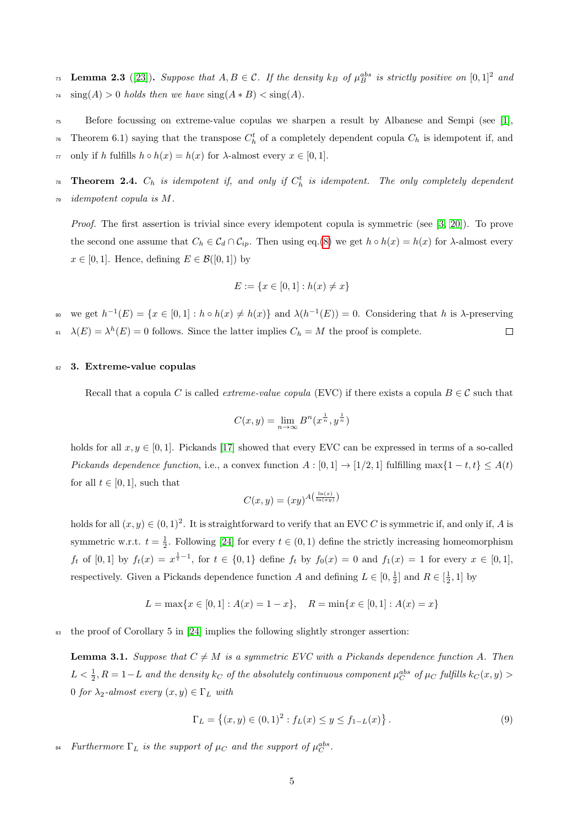**Lemma 2.3** ([\[23\]](#page-14-4)). Suppose that  $A, B \in \mathcal{C}$ . If the density  $k_B$  of  $\mu_B^{abs}$  is strictly positive on  $[0,1]^2$  and  $\lim_{74}$  sing(A) > 0 holds then we have  $\operatorname{sing}(A * B) < \operatorname{sing}(A)$ .

- <sup>75</sup> Before focussing on extreme-value copulas we sharpen a result by Albanese and Sempi (see [\[1\]](#page-13-3),
- Theorem 6.1) saying that the transpose  $C_h^t$  of a completely dependent copula  $C_h$  is idempotent if, and

 $\pi$  only if h fulfills  $h \circ h(x) = h(x)$  for  $\lambda$ -almost every  $x \in [0, 1]$ .

 $T_{78}$  Theorem 2.4.  $C_h$  is idempotent if, and only if  $C_h^t$  is idempotent. The only completely dependent <sup>79</sup> idempotent copula is M.

Proof. The first assertion is trivial since every idempotent copula is symmetric (see [\[3,](#page-13-1) [20\]](#page-14-11)). To prove the second one assume that  $C_h \in \mathcal{C}_d \cap \mathcal{C}_{ip}$ . Then using eq.[\(8\)](#page-3-0) we get  $h \circ h(x) = h(x)$  for  $\lambda$ -almost every  $x \in [0, 1]$ . Hence, defining  $E \in \mathcal{B}([0, 1])$  by

$$
E := \{ x \in [0,1] : h(x) \neq x \}
$$

we get  $h^{-1}(E) = \{x \in [0,1]: h \circ h(x) \neq h(x)\}\$  and  $\lambda(h^{-1}(E)) = 0$ . Considering that h is  $\lambda$ -preserving <sup>81</sup>  $\lambda(E) = \lambda^h(E) = 0$  follows. Since the latter implies  $C_h = M$  the proof is complete.  $\Box$ 

## 82 3. Extreme-value copulas

Recall that a copula C is called *extreme-value copula* (EVC) if there exists a copula  $B \in \mathcal{C}$  such that

$$
C(x, y) = \lim_{n \to \infty} B^n(x^{\frac{1}{n}}, y^{\frac{1}{n}})
$$

holds for all  $x, y \in [0, 1]$ . Pickands [\[17\]](#page-14-12) showed that every EVC can be expressed in terms of a so-called Pickands dependence function, i.e., a convex function  $A : [0,1] \rightarrow [1/2,1]$  fulfilling max $\{1-t,t\} \leq A(t)$ for all  $t \in [0, 1]$ , such that

$$
C(x,y) = (xy)^{A\left(\frac{\ln(x)}{\ln(xy)}\right)}
$$

holds for all  $(x, y) \in (0, 1)^2$ . It is straightforward to verify that an EVC C is symmetric if, and only if, A is symmetric w.r.t.  $t = \frac{1}{2}$ . Following [\[24\]](#page-14-13) for every  $t \in (0, 1)$  define the strictly increasing homeomorphism  $f_t$  of  $[0,1]$  by  $f_t(x) = x^{\frac{1}{t}-1}$ , for  $t \in \{0,1\}$  define  $f_t$  by  $f_0(x) = 0$  and  $f_1(x) = 1$  for every  $x \in [0,1]$ , respectively. Given a Pickands dependence function A and defining  $L \in [0, \frac{1}{2}]$  and  $R \in [\frac{1}{2}, 1]$  by

$$
L = \max\{x \in [0,1] : A(x) = 1 - x\}, \quad R = \min\{x \in [0,1] : A(x) = x\}
$$

 $\frac{1}{83}$  the proof of Corollary 5 in [\[24\]](#page-14-13) implies the following slightly stronger assertion:

<span id="page-4-0"></span>**Lemma 3.1.** Suppose that  $C \neq M$  is a symmetric EVC with a Pickands dependence function A. Then  $L < \frac{1}{2}$ ,  $R = 1 - L$  and the density  $k_C$  of the absolutely continuous component  $\mu_C^{abs}$  of  $\mu_C$  fulfills  $k_C(x, y) >$ 0 for  $\lambda_2$ -almost every  $(x, y) \in \Gamma_L$  with

$$
\Gamma_L = \{(x, y) \in (0, 1)^2 : f_L(x) \le y \le f_{1-L}(x) \}.
$$
\n(9)

<sup>84</sup> Furthermore  $\Gamma_L$  is the support of  $\mu_C$  and the support of  $\mu_C^{abs}$ .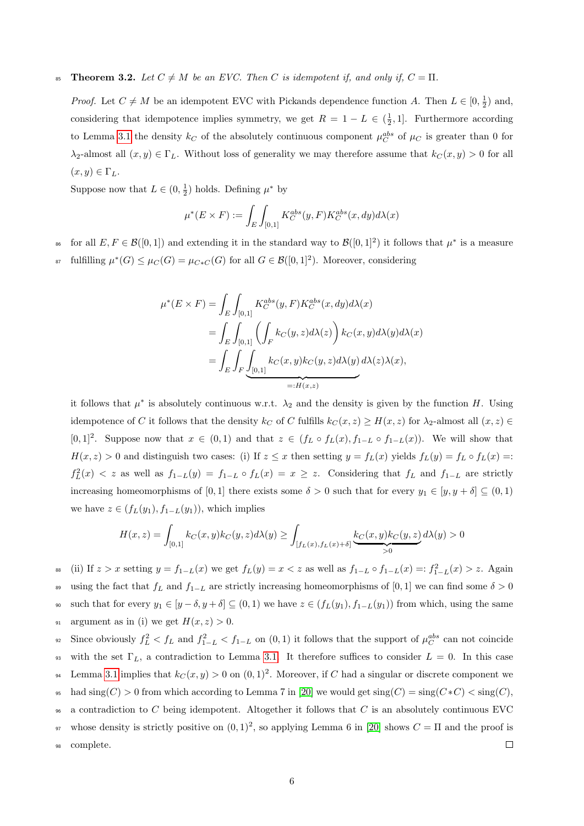# 85 **Theorem 3.2.** Let  $C \neq M$  be an EVC. Then C is idempotent if, and only if,  $C = \Pi$ .

*Proof.* Let  $C \neq M$  be an idempotent EVC with Pickands dependence function A. Then  $L \in [0, \frac{1}{2})$  and, considering that idempotence implies symmetry, we get  $R = 1 - L \in (\frac{1}{2}, 1]$ . Furthermore according to Lemma [3.1](#page-4-0) the density  $k_C$  of the absolutely continuous component  $\mu_C^{abs}$  of  $\mu_C$  is greater than 0 for  $\lambda_2$ -almost all  $(x, y) \in \Gamma_L$ . Without loss of generality we may therefore assume that  $k_C(x, y) > 0$  for all  $(x, y) \in \Gamma_L$ .

Suppose now that  $L \in (0, \frac{1}{2})$  holds. Defining  $\mu^*$  by

$$
\mu^*(E \times F) := \int_E \int_{[0,1]} K_C^{abs}(y, F) K_C^{abs}(x, dy) d\lambda(x)
$$

<sup>86</sup> for all  $E, F \in \mathcal{B}([0,1])$  and extending it in the standard way to  $\mathcal{B}([0,1]^2)$  it follows that  $\mu^*$  is a measure

<sup>37</sup> fulfilling  $\mu^*(G) \leq \mu_C(G) = \mu_{C*C}(G)$  for all  $G \in \mathcal{B}([0,1]^2)$ . Moreover, considering

$$
\mu^*(E \times F) = \int_E \int_{[0,1]} K_C^{abs}(y, F) K_C^{abs}(x, dy) d\lambda(x)
$$
  
= 
$$
\int_E \int_{[0,1]} \left( \int_F k_C(y, z) d\lambda(z) \right) k_C(x, y) d\lambda(y) d\lambda(x)
$$
  
= 
$$
\int_E \int_F \underbrace{\int_{[0,1]} k_C(x, y) k_C(y, z) d\lambda(y) d\lambda(z) \lambda(x)}_{=: H(x,z)},
$$

it follows that  $\mu^*$  is absolutely continuous w.r.t.  $\lambda_2$  and the density is given by the function H. Using idempotence of C it follows that the density  $k_C$  of C fulfills  $k_C (x, z) \ge H(x, z)$  for  $\lambda_2$ -almost all  $(x, z) \in$ [0,1]<sup>2</sup>. Suppose now that  $x \in (0,1)$  and that  $z \in (f_L \circ f_L(x), f_{1-L} \circ f_{1-L}(x))$ . We will show that  $H(x, z) > 0$  and distinguish two cases: (i) If  $z \leq x$  then setting  $y = f<sub>L</sub>(x)$  yields  $f<sub>L</sub>(y) = f<sub>L</sub> \circ f<sub>L</sub>(x) =$ :  $f_L^2(x) < z$  as well as  $f_{1-L}(y) = f_{1-L} \circ f_L(x) = x \geq z$ . Considering that  $f_L$  and  $f_{1-L}$  are strictly increasing homeomorphisms of [0,1] there exists some  $\delta > 0$  such that for every  $y_1 \in [y, y + \delta] \subseteq (0, 1)$ we have  $z \in (f_L(y_1), f_{1-L}(y_1))$ , which implies

$$
H(x,z) = \int_{[0,1]} k_C(x,y)k_C(y,z)d\lambda(y) \ge \int_{[f_L(x),f_L(x)+\delta]} \underbrace{k_C(x,y)k_C(y,z)}_{>0} d\lambda(y) > 0
$$

<sup>88</sup> (ii) If  $z > x$  setting  $y = f_{1-L}(x)$  we get  $f_L(y) = x < z$  as well as  $f_{1-L} \circ f_{1-L}(x) =: f_{1-L}^2(x) > z$ . Again 89 using the fact that  $f_L$  and  $f_{1-L}$  are strictly increasing homeomorphisms of [0, 1] we can find some  $\delta > 0$ 90 such that for every  $y_1 \in [y - \delta, y + \delta] \subseteq (0, 1)$  we have  $z \in (f_L(y_1), f_{1-L}(y_1))$  from which, using the same 91 argument as in (i) we get  $H(x, z) > 0$ .

s Since obviously  $f_L^2 < f_L$  and  $f_{1-L}^2 < f_{1-L}$  on  $(0, 1)$  it follows that the support of  $\mu_C^{abs}$  can not coincide 93 with the set  $\Gamma_L$ , a contradiction to Lemma [3.1.](#page-4-0) It therefore suffices to consider  $L = 0$ . In this case <sup>94</sup> Lemma [3.1](#page-4-0) implies that  $k_C(x, y) > 0$  on  $(0, 1)^2$ . Moreover, if C had a singular or discrete component we 95 had sing(C) > 0 from which according to Lemma 7 in [\[20\]](#page-14-11) we would get sing(C) = sing(C\*C) < sing(C),  $\bullet$  a contradiction to C being idempotent. Altogether it follows that C is an absolutely continuous EVC whose density is strictly positive on  $(0, 1)^2$ , so applying Lemma 6 in [\[20\]](#page-14-11) shows  $C = \Pi$  and the proof is <sup>98</sup> complete.  $\Box$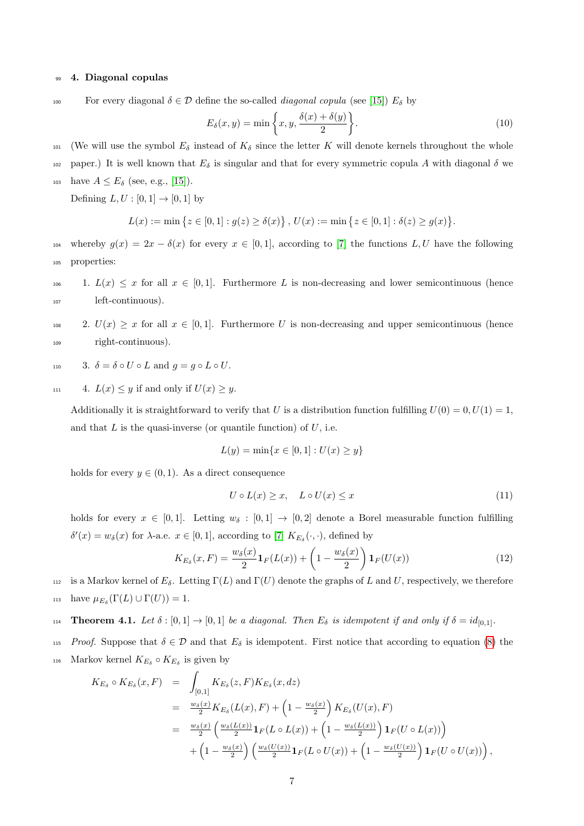## <sup>99</sup> 4. Diagonal copulas

100 For every diagonal  $\delta \in \mathcal{D}$  define the so-called *diagonal copula* (see [\[15\]](#page-14-6))  $E_{\delta}$  by

$$
E_{\delta}(x, y) = \min\left\{x, y, \frac{\delta(x) + \delta(y)}{2}\right\}.
$$
\n(10)

- 101 (We will use the symbol  $E_{\delta}$  instead of  $K_{\delta}$  since the letter K will denote kernels throughout the whole
- 102 paper.) It is well known that  $E_{\delta}$  is singular and that for every symmetric copula A with diagonal  $\delta$  we
- 103 have  $A \le E_{\delta}$  (see, e.g., [\[15\]](#page-14-6)).

Defining  $L, U : [0, 1] \rightarrow [0, 1]$  by

$$
L(x) := \min \left\{ z \in [0,1] : g(z) \ge \delta(x) \right\}, \ U(x) := \min \left\{ z \in [0,1] : \delta(z) \ge g(x) \right\}.
$$

- 104 whereby  $g(x) = 2x \delta(x)$  for every  $x \in [0,1]$ , according to [\[7\]](#page-14-14) the functions L, U have the following <sup>105</sup> properties:
- 106 1.  $L(x) \leq x$  for all  $x \in [0,1]$ . Furthermore L is non-decreasing and lower semicontinuous (hence <sup>107</sup> left-continuous).

108 2.  $U(x) \geq x$  for all  $x \in [0, 1]$ . Furthermore U is non-decreasing and upper semicontinuous (hence <sup>109</sup> right-continuous).

- 110 3.  $\delta = \delta \circ U \circ L$  and  $q = q \circ L \circ U$ .
- 111 4.  $L(x) \leq y$  if and only if  $U(x) \geq y$ .

Additionally it is straightforward to verify that U is a distribution function fulfilling  $U(0) = 0, U(1) = 1$ , and that  $L$  is the quasi-inverse (or quantile function) of  $U$ , i.e.

<span id="page-6-0"></span>
$$
L(y) = \min\{x \in [0, 1] : U(x) \ge y\}
$$

holds for every  $y \in (0, 1)$ . As a direct consequence

$$
U \circ L(x) \ge x, \quad L \circ U(x) \le x \tag{11}
$$

holds for every  $x \in [0, 1]$ . Letting  $w_{\delta} : [0, 1] \rightarrow [0, 2]$  denote a Borel measurable function fulfilling  $\delta'(x) = w_{\delta}(x)$  for  $\lambda$ -a.e.  $x \in [0,1]$ , according to [\[7\]](#page-14-14)  $K_{E_{\delta}}(\cdot, \cdot)$ , defined by

$$
K_{E_{\delta}}(x, F) = \frac{w_{\delta}(x)}{2} \mathbf{1}_F(L(x)) + \left(1 - \frac{w_{\delta}(x)}{2}\right) \mathbf{1}_F(U(x))
$$
\n(12)

112 is a Markov kernel of  $E_{\delta}$ . Letting  $\Gamma(L)$  and  $\Gamma(U)$  denote the graphs of L and U, respectively, we therefore 113 have  $\mu_{E_{\delta}}(\Gamma(L) \cup \Gamma(U)) = 1$ .

<span id="page-6-1"></span>**Theorem 4.1.** Let  $\delta : [0,1] \to [0,1]$  be a diagonal. Then  $E_{\delta}$  is idempotent if and only if  $\delta = id_{[0,1]}$ .

<sup>115</sup> Proof. Suppose that  $\delta \in \mathcal{D}$  and that  $E_{\delta}$  is idempotent. First notice that according to equation [\(8\)](#page-3-0) the

116 Markov kernel  $K_{E_\delta} \circ K_{E_\delta}$  is given by

$$
K_{E_{\delta}} \circ K_{E_{\delta}}(x, F) = \int_{[0,1]} K_{E_{\delta}}(z, F) K_{E_{\delta}}(x, dz)
$$
  
\n
$$
= \frac{w_{\delta}(x)}{2} K_{E_{\delta}}(L(x), F) + (1 - \frac{w_{\delta}(x)}{2}) K_{E_{\delta}}(U(x), F)
$$
  
\n
$$
= \frac{w_{\delta}(x)}{2} \left( \frac{w_{\delta}(L(x))}{2} \mathbf{1}_F(L \circ L(x)) + (1 - \frac{w_{\delta}(L(x))}{2}) \mathbf{1}_F(U \circ L(x)) \right)
$$
  
\n
$$
+ (1 - \frac{w_{\delta}(x)}{2}) \left( \frac{w_{\delta}(U(x))}{2} \mathbf{1}_F(L \circ U(x)) + (1 - \frac{w_{\delta}(U(x))}{2}) \mathbf{1}_F(U \circ U(x)) \right),
$$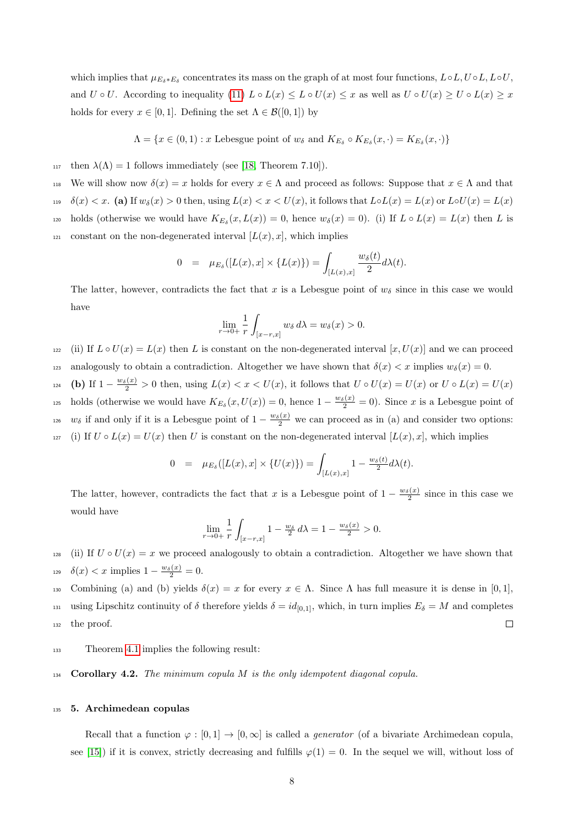which implies that  $\mu_{E_{\delta}*E_{\delta}}$  concentrates its mass on the graph of at most four functions,  $L \circ L, U \circ L, L \circ U$ , and  $U \circ U$ . According to inequality [\(11\)](#page-6-0)  $L \circ L(x) \leq L \circ U(x) \leq x$  as well as  $U \circ U(x) \geq U \circ L(x) \geq x$ holds for every  $x \in [0,1]$ . Defining the set  $\Lambda \in \mathcal{B}([0,1])$  by

 $\Lambda = \{x \in (0,1) : x \text{ Lebesgue point of } w_{\delta} \text{ and } K_{E_{\delta}} \circ K_{E_{\delta}}(x,\cdot) = K_{E_{\delta}}(x,\cdot)\}\$ 

- 117 then  $\lambda(\Lambda) = 1$  follows immediately (see [\[18,](#page-14-7) Theorem 7.10]).
- 118 We will show now  $\delta(x) = x$  holds for every  $x \in \Lambda$  and proceed as follows: Suppose that  $x \in \Lambda$  and that
- 119  $\delta(x) < x$ . (a) If  $w_\delta(x) > 0$  then, using  $L(x) < x < U(x)$ , it follows that  $L \circ L(x) = L(x)$  or  $L \circ U(x) = L(x)$
- $\Lambda_{120}$  holds (otherwise we would have  $K_{E_\delta}(x, L(x)) = 0$ , hence  $w_\delta(x) = 0$ ). (i) If  $L \circ L(x) = L(x)$  then L is <sup>121</sup> constant on the non-degenerated interval  $[L(x), x]$ , which implies

$$
0 = \mu_{E_{\delta}}([L(x), x] \times \{L(x)\}) = \int_{[L(x), x]} \frac{w_{\delta}(t)}{2} d\lambda(t).
$$

The latter, however, contradicts the fact that x is a Lebesgue point of  $w_{\delta}$  since in this case we would have

$$
\lim_{r \to 0+} \frac{1}{r} \int_{[x-r,x]} w_{\delta} d\lambda = w_{\delta}(x) > 0.
$$

<sup>122</sup> (ii) If  $L \circ U(x) = L(x)$  then L is constant on the non-degenerated interval  $[x, U(x)]$  and we can proceed analogously to obtain a contradiction. Altogether we have shown that  $\delta(x) < x$  implies  $w_{\delta}(x) = 0$ .

 $\sum_{124}$  (b) If  $1 - \frac{w_\delta(x)}{2} > 0$  then, using  $L(x) < x < U(x)$ , it follows that  $U \circ U(x) = U(x)$  or  $U \circ L(x) = U(x)$ holds (otherwise we would have  $K_{E_\delta}(x, U(x)) = 0$ , hence  $1 - \frac{w_\delta(x)}{2} = 0$ ). Since x is a Lebesgue point of  $wδ$  if and only if it is a Lebesgue point of  $1 - \frac{wδ(x)}{2}$  we can proceed as in (a) and consider two options: 127 (i) If  $U \circ L(x) = U(x)$  then U is constant on the non-degenerated interval  $[L(x), x]$ , which implies

$$
0 = \mu_{E_{\delta}}([L(x), x] \times \{U(x)\}) = \int_{[L(x), x]} 1 - \frac{w_{\delta}(t)}{2} d\lambda(t).
$$

The latter, however, contradicts the fact that x is a Lebesgue point of  $1 - \frac{w_\delta(x)}{2}$  since in this case we would have

$$
\lim_{r \to 0+} \frac{1}{r} \int_{[x-r,x]} 1 - \frac{w_\delta}{2} d\lambda = 1 - \frac{w_\delta(x)}{2} > 0.
$$

128 (ii) If  $U \circ U(x) = x$  we proceed analogously to obtain a contradiction. Altogether we have shown that <sup>129</sup>  $\delta(x) < x$  implies  $1 - \frac{w_\delta(x)}{2} = 0$ .

130 Combining (a) and (b) yields  $\delta(x) = x$  for every  $x \in \Lambda$ . Since  $\Lambda$  has full measure it is dense in [0, 1],

using Lipschitz continuity of  $\delta$  therefore yields  $\delta = id_{[0,1]}$ , which, in turn implies  $E_{\delta} = M$  and completes <sup>132</sup> the proof.  $\Box$ 

<sup>133</sup> Theorem [4.1](#page-6-1) implies the following result:

134 Corollary 4.2. The minimum copula M is the only idempotent diagonal copula.

# <sup>135</sup> 5. Archimedean copulas

Recall that a function  $\varphi : [0,1] \to [0,\infty]$  is called a *generator* (of a bivariate Archimedean copula, see [\[15\]](#page-14-6)) if it is convex, strictly decreasing and fulfills  $\varphi(1) = 0$ . In the sequel we will, without loss of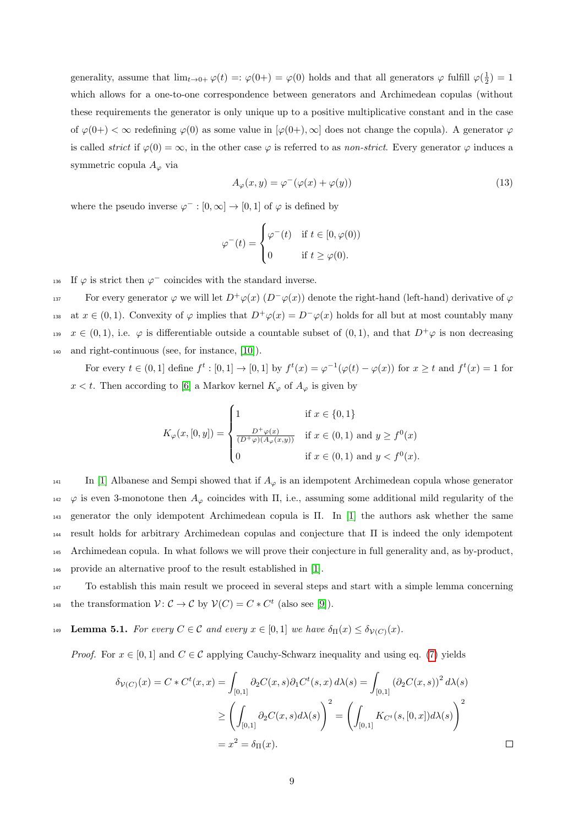generality, assume that  $\lim_{t\to 0+} \varphi(t) =: \varphi(0+)=\varphi(0)$  holds and that all generators  $\varphi$  fulfill  $\varphi(\frac{1}{2})=1$ which allows for a one-to-one correspondence between generators and Archimedean copulas (without these requirements the generator is only unique up to a positive multiplicative constant and in the case of  $\varphi(0+)<\infty$  redefining  $\varphi(0)$  as some value in  $[\varphi(0+),\infty]$  does not change the copula). A generator  $\varphi$ is called *strict* if  $\varphi(0) = \infty$ , in the other case  $\varphi$  is referred to as *non-strict*. Every generator  $\varphi$  induces a symmetric copula  $A_{\varphi}$  via

$$
A_{\varphi}(x, y) = \varphi^{-}(\varphi(x) + \varphi(y))
$$
\n(13)

where the pseudo inverse  $\varphi^- : [0, \infty] \to [0, 1]$  of  $\varphi$  is defined by

$$
\varphi^{-}(t) = \begin{cases} \varphi^{-}(t) & \text{if } t \in [0, \varphi(0)) \\ 0 & \text{if } t \ge \varphi(0). \end{cases}
$$

136 If  $\varphi$  is strict then  $\varphi^-$  coincides with the standard inverse.

For every generator  $\varphi$  we will let  $D^+\varphi(x)$   $(D^-\varphi(x))$  denote the right-hand (left-hand) derivative of  $\varphi$ at  $x \in (0, 1)$ . Convexity of  $\varphi$  implies that  $D^+\varphi(x) = D^-\varphi(x)$  holds for all but at most countably many <sup>139</sup>  $x \in (0,1)$ , i.e.  $\varphi$  is differentiable outside a countable subset of  $(0,1)$ , and that  $D^+\varphi$  is non decreasing <sup>140</sup> and right-continuous (see, for instance, [\[10\]](#page-14-15)).

For every  $t \in (0,1]$  define  $f^t : [0,1] \to [0,1]$  by  $f^t(x) = \varphi^{-1}(\varphi(t) - \varphi(x))$  for  $x \geq t$  and  $f^t(x) = 1$  for x < t. Then according to [\[6\]](#page-13-5) a Markov kernel  $K_{\varphi}$  of  $A_{\varphi}$  is given by

$$
K_{\varphi}(x,[0,y]) = \begin{cases} 1 & \text{if } x \in \{0,1\} \\ \frac{D^+\varphi(x)}{(D^+\varphi)(A_{\varphi}(x,y))} & \text{if } x \in (0,1) \text{ and } y \ge f^0(x) \\ 0 & \text{if } x \in (0,1) \text{ and } y < f^0(x). \end{cases}
$$

 In [\[1\]](#page-13-3) Albanese and Sempi showed that if  $A_{\varphi}$  is an idempotent Archimedean copula whose generator  $142 \varphi$  is even 3-monotone then  $A_{\varphi}$  coincides with  $\Pi$ , i.e., assuming some additional mild regularity of the generator the only idempotent Archimedean copula is Π. In [\[1\]](#page-13-3) the authors ask whether the same result holds for arbitrary Archimedean copulas and conjecture that Π is indeed the only idempotent Archimedean copula. In what follows we will prove their conjecture in full generality and, as by-product, provide an alternative proof to the result established in [\[1\]](#page-13-3).

<sup>147</sup> To establish this main result we proceed in several steps and start with a simple lemma concerning the transformation  $\mathcal{V} \colon \mathcal{C} \to \mathcal{C}$  by  $\mathcal{V}(C) = C * C^t$  (also see [\[9\]](#page-14-16)).

<span id="page-8-0"></span>149 Lemma 5.1. For every  $C \in \mathcal{C}$  and every  $x \in [0,1]$  we have  $\delta_{\Pi}(x) \leq \delta_{\mathcal{V}(C)}(x)$ .

*Proof.* For  $x \in [0, 1]$  and  $C \in \mathcal{C}$  applying Cauchy-Schwarz inequality and using eq. [\(7\)](#page-3-1) yields

$$
\delta_{\mathcal{V}(C)}(x) = C * C^t(x, x) = \int_{[0,1]} \partial_2 C(x, s) \partial_1 C^t(s, x) d\lambda(s) = \int_{[0,1]} (\partial_2 C(x, s))^2 d\lambda(s)
$$

$$
\geq \left( \int_{[0,1]} \partial_2 C(x, s) d\lambda(s) \right)^2 = \left( \int_{[0,1]} K_{C^t}(s, [0, x]) d\lambda(s) \right)^2
$$

$$
= x^2 = \delta_{\Pi}(x).
$$

 $\Box$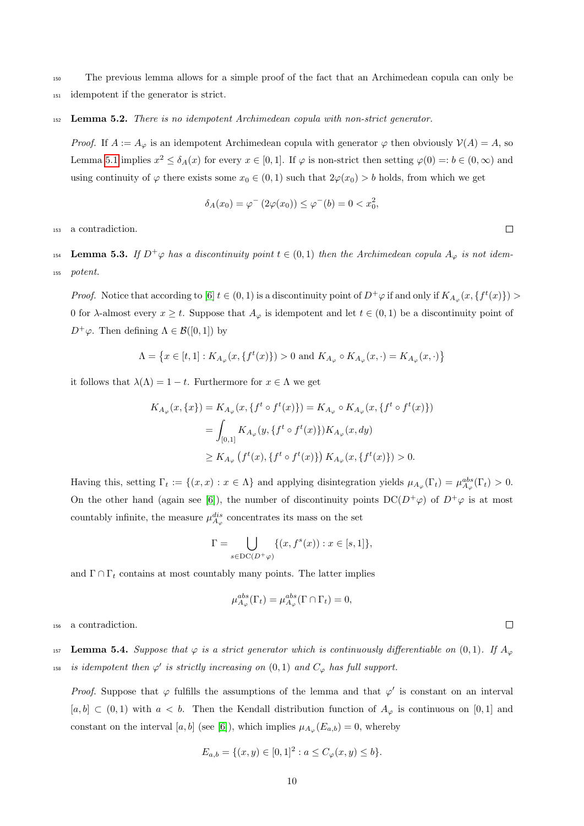<sup>150</sup> The previous lemma allows for a simple proof of the fact that an Archimedean copula can only be

- <sup>151</sup> idempotent if the generator is strict.
- 152 Lemma 5.2. There is no idempotent Archimedean copula with non-strict generator.

*Proof.* If  $A := A_{\varphi}$  is an idempotent Archimedean copula with generator  $\varphi$  then obviously  $\mathcal{V}(A) = A$ , so Lemma [5.1](#page-8-0) implies  $x^2 \le \delta_A(x)$  for every  $x \in [0,1]$ . If  $\varphi$  is non-strict then setting  $\varphi(0) =: b \in (0,\infty)$  and using continuity of  $\varphi$  there exists some  $x_0 \in (0,1)$  such that  $2\varphi(x_0) > b$  holds, from which we get

$$
\delta_A(x_0) = \varphi^{-} (2\varphi(x_0)) \le \varphi^{-}(b) = 0 < x_0^2,
$$

<sup>153</sup> a contradiction.

154 **Lemma 5.3.** If  $D^+\varphi$  has a discontinuity point  $t \in (0,1)$  then the Archimedean copula  $A_{\varphi}$  is not idem-<sup>155</sup> potent.

*Proof.* Notice that according to [\[6\]](#page-13-5)  $t \in (0,1)$  is a discontinuity point of  $D^+\varphi$  if and only if  $K_{A_{\varphi}}(x,\{f^t(x)\}) >$ 0 for  $\lambda$ -almost every  $x \geq t$ . Suppose that  $A_{\varphi}$  is idempotent and let  $t \in (0,1)$  be a discontinuity point of  $D^+\varphi$ . Then defining  $\Lambda \in \mathcal{B}([0,1])$  by

$$
\Lambda = \left\{x \in [t,1]: K_{A_{\varphi}}(x,\{f^t(x)\}) > 0 \text{ and } K_{A_{\varphi}} \circ K_{A_{\varphi}}(x,\cdot) = K_{A_{\varphi}}(x,\cdot)\right\}
$$

it follows that  $\lambda(\Lambda) = 1 - t$ . Furthermore for  $x \in \Lambda$  we get

$$
K_{A_{\varphi}}(x,\{x\}) = K_{A_{\varphi}}(x,\{f^t \circ f^t(x)\}) = K_{A_{\varphi}} \circ K_{A_{\varphi}}(x,\{f^t \circ f^t(x)\})
$$
  
= 
$$
\int_{[0,1]} K_{A_{\varphi}}(y,\{f^t \circ f^t(x)\}) K_{A_{\varphi}}(x,dy)
$$
  

$$
\geq K_{A_{\varphi}}(f^t(x),\{f^t \circ f^t(x)\}) K_{A_{\varphi}}(x,\{f^t(x)\}) > 0.
$$

Having this, setting  $\Gamma_t := \{(x, x) : x \in \Lambda\}$  and applying disintegration yields  $\mu_{A_{\varphi}}(\Gamma_t) = \mu_{A_{\varphi}}^{abs}(\Gamma_t) > 0$ . On the other hand (again see [\[6\]](#page-13-5)), the number of discontinuity points  $DC(D^+\varphi)$  of  $D^+\varphi$  is at most countably infinite, the measure  $\mu_{A_{\varphi}}^{dis}$  concentrates its mass on the set

$$
\Gamma = \bigcup_{s \in \text{DC}(D^+\varphi)} \{ (x, f^s(x)) : x \in [s, 1] \},
$$

and  $\Gamma \cap \Gamma_t$  contains at most countably many points. The latter implies

$$
\mu_{A_{\varphi}}^{abs}(\Gamma_t) = \mu_{A_{\varphi}}^{abs}(\Gamma \cap \Gamma_t) = 0,
$$

<sup>156</sup> a contradiction.

157 Lemma 5.4. Suppose that  $\varphi$  is a strict generator which is continuously differentiable on  $(0,1)$ . If  $A_{\varphi}$ <sup>158</sup> is idempotent then  $\varphi'$  is strictly increasing on  $(0,1)$  and  $C_{\varphi}$  has full support.

*Proof.* Suppose that  $\varphi$  fulfills the assumptions of the lemma and that  $\varphi'$  is constant on an interval  $[a, b] \subset (0, 1)$  with  $a < b$ . Then the Kendall distribution function of  $A_{\varphi}$  is continuous on [0,1] and constant on the interval [a, b] (see [\[6\]](#page-13-5)), which implies  $\mu_{A_{\varphi}}(E_{a,b}) = 0$ , whereby

$$
E_{a,b} = \{(x,y) \in [0,1]^2 : a \le C_{\varphi}(x,y) \le b\}.
$$

 $\Box$ 

 $\Box$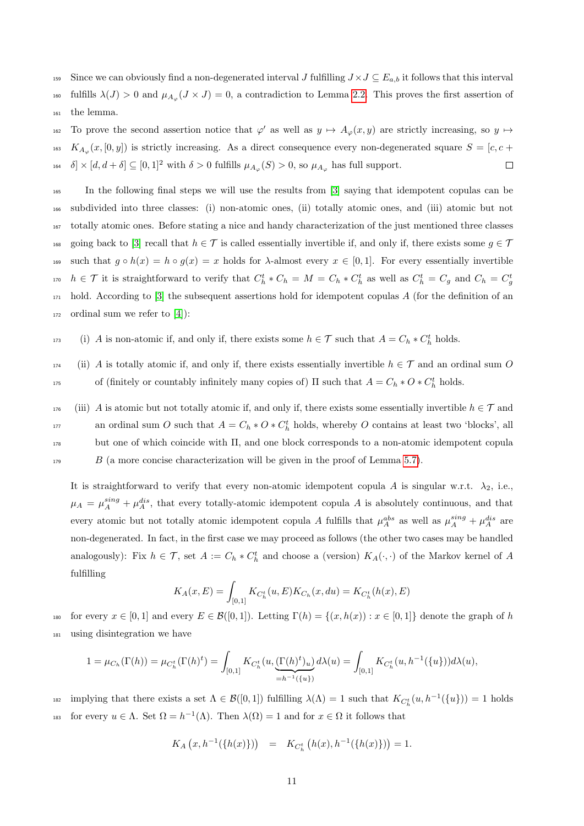- 159 Since we can obviously find a non-degenerated interval J fulfilling  $J \times J \subseteq E_{a,b}$  it follows that this interval
- <sup>160</sup> fulfills  $\lambda(J) > 0$  and  $\mu_{A_{\varphi}}(J \times J) = 0$ , a contradiction to Lemma [2.2.](#page-3-2) This proves the first assertion of <sup>161</sup> the lemma.
- 162 To prove the second assertion notice that  $\varphi'$  as well as  $y \mapsto A_{\varphi}(x, y)$  are strictly increasing, so  $y \mapsto$ <sup>163</sup>  $K_{A_{\varphi}}(x,[0,y])$  is strictly increasing. As a direct consequence every non-degenerated square  $S = [c, c +$ 164  $\delta$   $\times$  [d, d +  $\delta$ ]  $\subseteq$  [0, 1]<sup>2</sup> with  $\delta > 0$  fulfills  $\mu_{A_{\varphi}}(S) > 0$ , so  $\mu_{A_{\varphi}}$  has full support.  $\Box$
- <sup>165</sup> In the following final steps we will use the results from [\[3\]](#page-13-1) saying that idempotent copulas can be <sup>166</sup> subdivided into three classes: (i) non-atomic ones, (ii) totally atomic ones, and (iii) atomic but not <sup>167</sup> totally atomic ones. Before stating a nice and handy characterization of the just mentioned three classes <sup>168</sup> going back to [\[3\]](#page-13-1) recall that  $h \in \mathcal{T}$  is called essentially invertible if, and only if, there exists some  $g \in \mathcal{T}$ 169 such that  $g \circ h(x) = h \circ g(x) = x$  holds for  $\lambda$ -almost every  $x \in [0,1]$ . For every essentially invertible  $h \in \mathcal{T}$  it is straightforward to verify that  $C_h^t * C_h = M = C_h * C_h^t$  as well as  $C_h^t = C_g$  and  $C_h = C_g^t$ 170  $_{171}$  hold. According to [\[3\]](#page-13-1) the subsequent assertions hold for idempotent copulas A (for the definition of an  $_{172}$  ordinal sum we refer to [\[4\]](#page-13-4)):
- <sup>173</sup> (i) A is non-atomic if, and only if, there exists some  $h \in \mathcal{T}$  such that  $A = C_h * C_h^t$  holds.
- $174$  (ii) A is totally atomic if, and only if, there exists essentially invertible  $h \in \mathcal{T}$  and an ordinal sum O 175 of (finitely or countably infinitely many copies of)  $\Pi$  such that  $A = C_h * O * C_h^t$  holds.
- <sup>176</sup> (iii) A is atomic but not totally atomic if, and only if, there exists some essentially invertible  $h \in \mathcal{T}$  and an ordinal sum O such that  $A = C_h * O * C_h^t$  holds, whereby O contains at least two 'blocks', all <sup>178</sup> but one of which coincide with Π, and one block corresponds to a non-atomic idempotent copula  $B$  (a more concise characterization will be given in the proof of Lemma [5.7\)](#page-12-0).

It is straightforward to verify that every non-atomic idempotent copula A is singular w.r.t.  $\lambda_2$ , i.e.,  $\mu_A = \mu_A^{sing} + \mu_A^{dis}$ , that every totally-atomic idempotent copula A is absolutely continuous, and that every atomic but not totally atomic idempotent copula A fulfills that  $\mu_A^{abs}$  as well as  $\mu_A^{sing} + \mu_A^{dis}$  are non-degenerated. In fact, in the first case we may proceed as follows (the other two cases may be handled analogously): Fix  $h \in \mathcal{T}$ , set  $A := C_h * C_h^t$  and choose a (version)  $K_A(\cdot, \cdot)$  of the Markov kernel of A fulfilling

$$
K_A(x, E) = \int_{[0,1]} K_{C_h^t}(u, E) K_{C_h}(x, du) = K_{C_h^t}(h(x), E)
$$

180 for every  $x \in [0,1]$  and every  $E \in \mathcal{B}([0,1])$ . Letting  $\Gamma(h) = \{(x,h(x)) : x \in [0,1]\}$  denote the graph of h <sup>181</sup> using disintegration we have

$$
1 = \mu_{C_h}(\Gamma(h)) = \mu_{C_h^t}(\Gamma(h)^t) = \int_{[0,1]} K_{C_h^t}(u, \underbrace{(\Gamma(h)^t)_u}_{=h^{-1}(\{u\})} d\lambda(u) = \int_{[0,1]} K_{C_h^t}(u, h^{-1}(\{u\})) d\lambda(u),
$$

is implying that there exists a set  $\Lambda \in \mathcal{B}([0,1])$  fulfilling  $\lambda(\Lambda) = 1$  such that  $K_{C_h^t}(u, h^{-1}(\{u\})) = 1$  holds 183 for every  $u \in \Lambda$ . Set  $\Omega = h^{-1}(\Lambda)$ . Then  $\lambda(\Omega) = 1$  and for  $x \in \Omega$  it follows that

$$
K_A(x, h^{-1}(\{h(x)\})) = K_{C_h^t} (h(x), h^{-1}(\{h(x)\})) = 1.
$$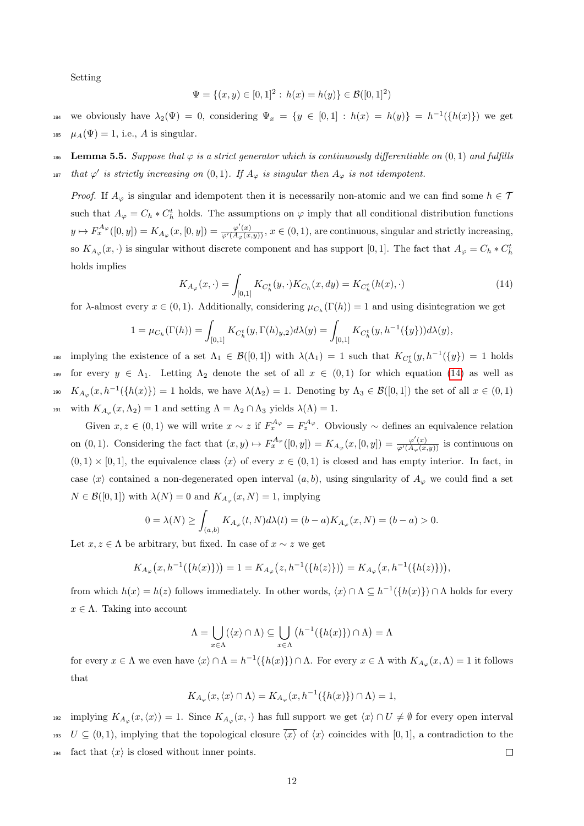Setting

$$
\Psi = \{(x, y) \in [0, 1]^2 : h(x) = h(y)\} \in \mathcal{B}([0, 1]^2)
$$

184 we obviously have  $\lambda_2(\Psi) = 0$ , considering  $\Psi_x = \{y \in [0,1] : h(x) = h(y)\} = h^{-1}(\{h(x)\})$  we get 185  $\mu_A(\Psi) = 1$ , i.e., A is singular.

186 Lemma 5.5. Suppose that  $\varphi$  is a strict generator which is continuously differentiable on  $(0, 1)$  and fulfills

<sup>187</sup> that  $\varphi'$  is strictly increasing on  $(0,1)$ . If  $A_{\varphi}$  is singular then  $A_{\varphi}$  is not idempotent.

*Proof.* If  $A_{\varphi}$  is singular and idempotent then it is necessarily non-atomic and we can find some  $h \in \mathcal{T}$ such that  $A_{\varphi} = C_h * C_h^t$  holds. The assumptions on  $\varphi$  imply that all conditional distribution functions  $y \mapsto F_x^{A_{\varphi}}([0, y]) = K_{A_{\varphi}}(x, [0, y]) = \frac{\varphi'(x)}{\varphi'(A_{\varphi}(x, y))}, x \in (0, 1)$ , are continuous, singular and strictly increasing, so  $K_{A_{\varphi}}(x, \cdot)$  is singular without discrete component and has support [0,1]. The fact that  $A_{\varphi} = C_h * C_h^t$ holds implies

<span id="page-11-0"></span>
$$
K_{A_{\varphi}}(x,\cdot) = \int_{[0,1]} K_{C_h^t}(y,\cdot) K_{C_h}(x,dy) = K_{C_h^t}(h(x),\cdot)
$$
\n(14)

for  $\lambda$ -almost every  $x \in (0,1)$ . Additionally, considering  $\mu_{C_h}(\Gamma(h)) = 1$  and using disintegration we get

$$
1 = \mu_{C_h}(\Gamma(h)) = \int_{[0,1]} K_{C_h^t}(y, \Gamma(h)_{y,2}) d\lambda(y) = \int_{[0,1]} K_{C_h^t}(y, h^{-1}(\{y\})) d\lambda(y),
$$

<sup>188</sup> implying the existence of a set  $\Lambda_1 \in \mathcal{B}([0,1])$  with  $\lambda(\Lambda_1) = 1$  such that  $K_{C_h^t}(y, h^{-1}(\{y\}) = 1$  holds 189 for every  $y \in \Lambda_1$ . Letting  $\Lambda_2$  denote the set of all  $x \in (0,1)$  for which equation [\(14\)](#page-11-0) as well as <sup>190</sup>  $K_{A_{\varphi}}(x, h^{-1}(\{h(x)\}) = 1$  holds, we have  $\lambda(\Lambda_2) = 1$ . Denoting by  $\Lambda_3 \in \mathcal{B}([0,1])$  the set of all  $x \in (0,1)$ <sup>191</sup> with  $K_{A_{\varphi}}(x,\Lambda_2) = 1$  and setting  $\Lambda = \Lambda_2 \cap \Lambda_3$  yields  $\lambda(\Lambda) = 1$ .

Given  $x, z \in (0,1)$  we will write  $x \sim z$  if  $F_x^{A_{\varphi}} = F_z^{A_{\varphi}}$ . Obviously  $\sim$  defines an equivalence relation on  $(0, 1)$ . Considering the fact that  $(x, y) \mapsto F_x^{\mathcal{A}_{\varphi}}([0, y]) = K_{A_{\varphi}}(x, [0, y]) = \frac{\varphi'(x)}{\varphi'(A_{\varphi}(x, y))}$  is continuous on  $(0, 1) \times [0, 1]$ , the equivalence class  $\langle x \rangle$  of every  $x \in (0, 1)$  is closed and has empty interior. In fact, in case  $\langle x \rangle$  contained a non-degenerated open interval  $(a, b)$ , using singularity of  $A_{\varphi}$  we could find a set  $N \in \mathcal{B}([0,1])$  with  $\lambda(N) = 0$  and  $K_{A_{\varphi}}(x, N) = 1$ , implying

$$
0 = \lambda(N) \ge \int_{(a,b)} K_{A_{\varphi}}(t, N) d\lambda(t) = (b - a) K_{A_{\varphi}}(x, N) = (b - a) > 0.
$$

Let  $x, z \in \Lambda$  be arbitrary, but fixed. In case of  $x \sim z$  we get

$$
K_{A_{\varphi}}(x, h^{-1}(\{h(x)\})) = 1 = K_{A_{\varphi}}(z, h^{-1}(\{h(z)\})) = K_{A_{\varphi}}(x, h^{-1}(\{h(z)\})),
$$

from which  $h(x) = h(z)$  follows immediately. In other words,  $\langle x \rangle \cap \Lambda \subseteq h^{-1}(\lbrace h(x) \rbrace) \cap \Lambda$  holds for every  $x \in \Lambda$ . Taking into account

$$
\Lambda = \bigcup_{x \in \Lambda} (\langle x \rangle \cap \Lambda) \subseteq \bigcup_{x \in \Lambda} (h^{-1}(\lbrace h(x) \rbrace) \cap \Lambda) = \Lambda
$$

for every  $x \in \Lambda$  we even have  $\langle x \rangle \cap \Lambda = h^{-1}(\lbrace h(x) \rbrace) \cap \Lambda$ . For every  $x \in \Lambda$  with  $K_{A_{\varphi}}(x, \Lambda) = 1$  it follows that

 $K_{A_{\varphi}}(x, \langle x \rangle \cap \Lambda) = K_{A_{\varphi}}(x, h^{-1}(\lbrace h(x) \rbrace) \cap \Lambda) = 1,$ 

 $\text{supp}(\text{supp}(\textit{K}_{A_{\varphi}}(x,\langle x\rangle)) = 1.$  Since  $K_{A_{\varphi}}(x,\cdot)$  has full support we get  $\langle x\rangle \cap U \neq \emptyset$  for every open interval <sup>193</sup>  $U \subseteq (0, 1)$ , implying that the topological closure  $\overline{\langle x \rangle}$  of  $\langle x \rangle$  coincides with [0, 1], a contradiction to the 194 fact that  $\langle x \rangle$  is closed without inner points.  $\Box$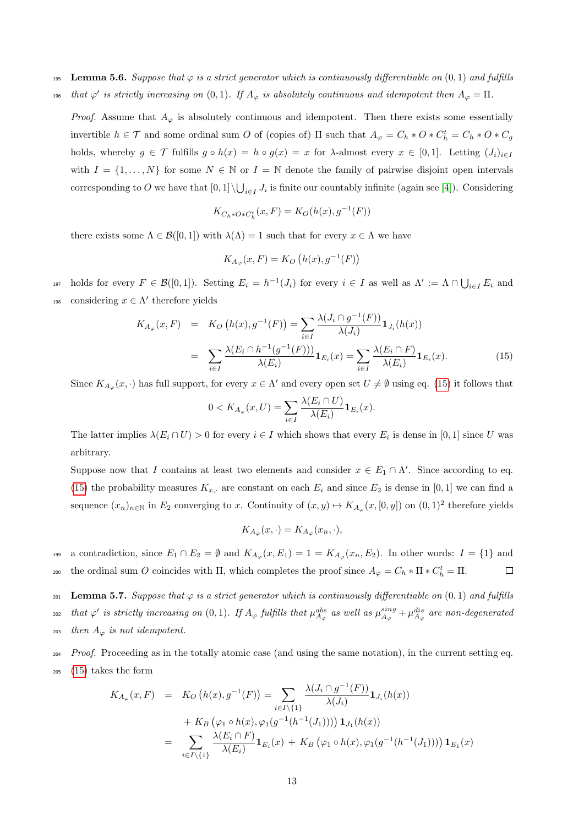- 195 Lemma 5.6. Suppose that  $\varphi$  is a strict generator which is continuously differentiable on  $(0, 1)$  and fulfills
- <sup>196</sup> that  $\varphi'$  is strictly increasing on  $(0, 1)$ . If  $A_{\varphi}$  is absolutely continuous and idempotent then  $A_{\varphi} = \Pi$ .

*Proof.* Assume that  $A_{\varphi}$  is absolutely continuous and idempotent. Then there exists some essentially invertible  $h \in \mathcal{T}$  and some ordinal sum O of (copies of)  $\Pi$  such that  $A_{\varphi} = C_h * O * C_h^t = C_h * O * C_g$ holds, whereby  $g \in \mathcal{T}$  fulfills  $g \circ h(x) = h \circ g(x) = x$  for  $\lambda$ -almost every  $x \in [0,1]$ . Letting  $(J_i)_{i\in I}$ with  $I = \{1, \ldots, N\}$  for some  $N \in \mathbb{N}$  or  $I = \mathbb{N}$  denote the family of pairwise disjoint open intervals corresponding to O we have that  $[0,1] \setminus \bigcup_{i \in I} J_i$  is finite our countably infinite (again see [\[4\]](#page-13-4)). Considering

$$
K_{C_h \ast O \ast C_h^t}(x,F) = K_O(h(x),g^{-1}(F))
$$

there exists some  $\Lambda \in \mathcal{B}([0,1])$  with  $\lambda(\Lambda) = 1$  such that for every  $x \in \Lambda$  we have

$$
K_{A_{\varphi}}(x,F) = K_O\left(h(x), g^{-1}(F)\right)
$$

197 holds for every  $F \in \mathcal{B}([0,1])$ . Setting  $E_i = h^{-1}(J_i)$  for every  $i \in I$  as well as  $\Lambda' := \Lambda \cap \bigcup_{i \in I} E_i$  and 198 considering  $x \in \Lambda'$  therefore yields

<span id="page-12-1"></span>
$$
K_{A_{\varphi}}(x, F) = K_O(h(x), g^{-1}(F)) = \sum_{i \in I} \frac{\lambda(J_i \cap g^{-1}(F))}{\lambda(J_i)} \mathbf{1}_{J_i}(h(x))
$$
  

$$
= \sum_{i \in I} \frac{\lambda(E_i \cap h^{-1}(g^{-1}(F)))}{\lambda(E_i)} \mathbf{1}_{E_i}(x) = \sum_{i \in I} \frac{\lambda(E_i \cap F)}{\lambda(E_i)} \mathbf{1}_{E_i}(x).
$$
 (15)

Since  $K_{A_{\varphi}}(x, \cdot)$  has full support, for every  $x \in \Lambda'$  and every open set  $U \neq \emptyset$  using eq. [\(15\)](#page-12-1) it follows that

$$
0 < K_{A_{\varphi}}(x, U) = \sum_{i \in I} \frac{\lambda(E_i \cap U)}{\lambda(E_i)} \mathbf{1}_{E_i}(x).
$$

The latter implies  $\lambda(E_i \cap U) > 0$  for every  $i \in I$  which shows that every  $E_i$  is dense in [0, 1] since U was arbitrary.

Suppose now that I contains at least two elements and consider  $x \in E_1 \cap \Lambda'$ . Since according to eq. [\(15\)](#page-12-1) the probability measures  $K_{x}$ , are constant on each  $E_i$  and since  $E_2$  is dense in [0, 1] we can find a sequence  $(x_n)_{n\in\mathbb{N}}$  in  $E_2$  converging to x. Continuity of  $(x, y) \mapsto K_{A_{\varphi}}(x, [0, y])$  on  $(0, 1)^2$  therefore yields

$$
K_{A_{\varphi}}(x,\cdot) = K_{A_{\varphi}}(x_n,\cdot),
$$

199 a contradiction, since  $E_1 \cap E_2 = \emptyset$  and  $K_{A_{\varphi}}(x, E_1) = 1 = K_{A_{\varphi}}(x_n, E_2)$ . In other words:  $I = \{1\}$  and 200 the ordinal sum O coincides with  $\Pi$ , which completes the proof since  $A_{\varphi} = C_h * \Pi * C_h^t = \Pi$ .  $\Box$ 

<span id="page-12-0"></span>201 Lemma 5.7. Suppose that  $\varphi$  is a strict generator which is continuously differentiable on  $(0, 1)$  and fulfills <sup>202</sup> that  $\varphi'$  is strictly increasing on  $(0,1)$ . If  $A_{\varphi}$  fulfills that  $\mu_{A_{\varphi}}^{abs}$  as well as  $\mu_{A_{\varphi}}^{sing} + \mu_{A_{\varphi}}^{dis}$  are non-degenerated

203 then  $A_{\varphi}$  is not idempotent.

 $204$  Proof. Proceeding as in the totally atomic case (and using the same notation), in the current setting eq. <sup>205</sup> [\(15\)](#page-12-1) takes the form

$$
K_{A_{\varphi}}(x,F) = K_O(h(x), g^{-1}(F)) = \sum_{i \in I \setminus \{1\}} \frac{\lambda(J_i \cap g^{-1}(F))}{\lambda(J_i)} \mathbf{1}_{J_i}(h(x))
$$
  
+  $K_B(\varphi_1 \circ h(x), \varphi_1(g^{-1}(h^{-1}(J_1)))) \mathbf{1}_{J_1}(h(x))$   
= 
$$
\sum_{i \in I \setminus \{1\}} \frac{\lambda(E_i \cap F)}{\lambda(E_i)} \mathbf{1}_{E_i}(x) + K_B(\varphi_1 \circ h(x), \varphi_1(g^{-1}(h^{-1}(J_1)))) \mathbf{1}_{E_1}(x)
$$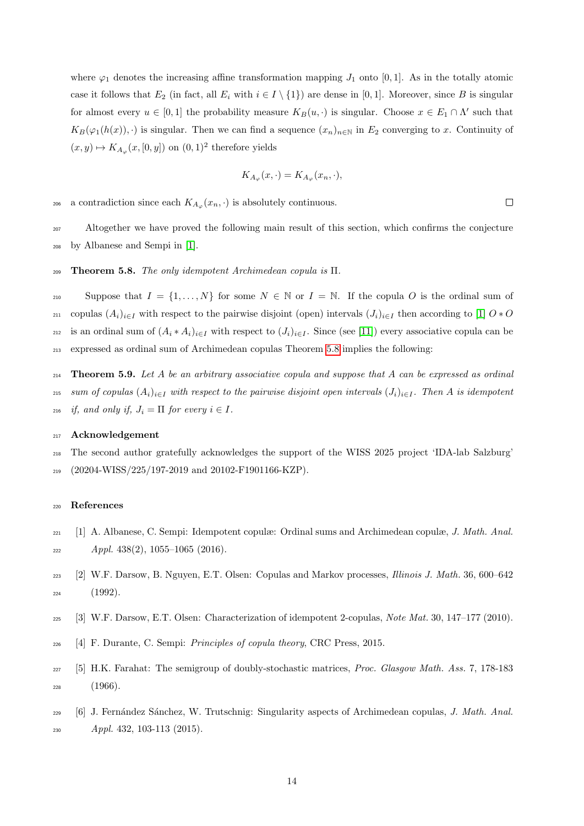where  $\varphi_1$  denotes the increasing affine transformation mapping  $J_1$  onto [0,1]. As in the totally atomic case it follows that  $E_2$  (in fact, all  $E_i$  with  $i \in I \setminus \{1\}$ ) are dense in [0, 1]. Moreover, since B is singular for almost every  $u \in [0,1]$  the probability measure  $K_B(u, \cdot)$  is singular. Choose  $x \in E_1 \cap \Lambda'$  such that  $K_B(\varphi_1(h(x)), \cdot)$  is singular. Then we can find a sequence  $(x_n)_{n\in\mathbb{N}}$  in  $E_2$  converging to x. Continuity of  $(x, y) \mapsto K_{A_{\varphi}}(x, [0, y])$  on  $(0, 1)^2$  therefore yields

$$
K_{A_{\varphi}}(x,\cdot) = K_{A_{\varphi}}(x_n,\cdot),
$$

 $\Box$ 

206 a contradiction since each  $K_{A_{\varphi}}(x_n, \cdot)$  is absolutely continuous.

<sup>207</sup> Altogether we have proved the following main result of this section, which confirms the conjecture <sup>208</sup> by Albanese and Sempi in [\[1\]](#page-13-3).

#### <span id="page-13-6"></span>209 Theorem 5.8. The only idempotent Archimedean copula is  $\Pi$ .

210 Suppose that  $I = \{1, ..., N\}$  for some  $N \in \mathbb{N}$  or  $I = \mathbb{N}$ . If the copula O is the ordinal sum of 211 copulas  $(A_i)_{i\in I}$  with respect to the pairwise disjoint (open) intervals  $(J_i)_{i\in I}$  then according to [\[1\]](#page-13-3)  $O*O$ 212 is an ordinal sum of  $(A_i * A_i)_{i \in I}$  with respect to  $(J_i)_{i \in I}$ . Since (see [\[11\]](#page-14-17)) every associative copula can be <sup>213</sup> expressed as ordinal sum of Archimedean copulas Theorem [5.8](#page-13-6) implies the following:

214 **Theorem 5.9.** Let A be an arbitrary associative copula and suppose that A can be expressed as ordinal 215 sum of copulas  $(A_i)_{i\in I}$  with respect to the pairwise disjoint open intervals  $(J_i)_{i\in I}$ . Then A is idempotent <sup>216</sup> if, and only if,  $J_i = \Pi$  for every  $i \in I$ .

# <sup>217</sup> Acknowledgement

<sup>218</sup> The second author gratefully acknowledges the support of the WISS 2025 project 'IDA-lab Salzburg' <sup>219</sup> (20204-WISS/225/197-2019 and 20102-F1901166-KZP).

# <sup>220</sup> References

- <span id="page-13-3"></span><sup>221</sup> [1] A. Albanese, C. Sempi: Idempotent copulæ: Ordinal sums and Archimedean copulæ, J. Math. Anal.  $222$  Appl. 438(2), 1055–1065 (2016).
- <span id="page-13-0"></span><sup>223</sup> [2] W.F. Darsow, B. Nguyen, E.T. Olsen: Copulas and Markov processes, Illinois J. Math. 36, 600–642 <sup>224</sup> (1992).
- <span id="page-13-1"></span><sup>225</sup> [3] W.F. Darsow, E.T. Olsen: Characterization of idempotent 2-copulas, Note Mat. 30, 147–177 (2010).
- <span id="page-13-4"></span><sup>226</sup> [4] F. Durante, C. Sempi: Principles of copula theory, CRC Press, 2015.
- <span id="page-13-2"></span><sup>227</sup> [5] H.K. Farahat: The semigroup of doubly-stochastic matrices, Proc. Glasgow Math. Ass. 7, 178-183  $228$  (1966).
- <span id="page-13-5"></span> $229$  [6] J. Fernández Sánchez, W. Trutschnig: Singularity aspects of Archimedean copulas, J. Math. Anal. <sup>230</sup> Appl. 432, 103-113 (2015).